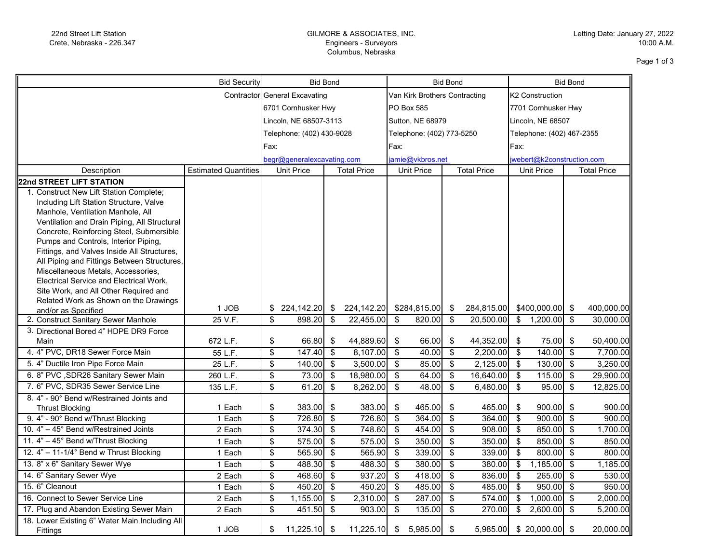## GILMORE & ASSOCIATES, INC. Engineers - Surveyors Columbus, Nebraska

Page 1 of 3

| Bid Security                                                                     |                             |                            | <b>Bid Bond</b>               |                           |                           |                           | <b>Bid Bond</b>               |                          | <b>Bid Bond</b>           |                           |                     |                                      |            |  |
|----------------------------------------------------------------------------------|-----------------------------|----------------------------|-------------------------------|---------------------------|---------------------------|---------------------------|-------------------------------|--------------------------|---------------------------|---------------------------|---------------------|--------------------------------------|------------|--|
|                                                                                  |                             |                            | Contractor General Excavating |                           |                           |                           | Van Kirk Brothers Contracting |                          |                           |                           | K2 Construction     |                                      |            |  |
|                                                                                  |                             |                            | 6701 Cornhusker Hwy           |                           |                           |                           | <b>PO Box 585</b>             |                          |                           |                           | 7701 Cornhusker Hwy |                                      |            |  |
|                                                                                  |                             |                            | Lincoln, NE 68507-3113        |                           |                           |                           | Sutton, NE 68979              |                          |                           |                           | Lincoln, NE 68507   |                                      |            |  |
|                                                                                  | Telephone: (402) 430-9028   |                            |                               |                           | Telephone: (402) 773-5250 |                           |                               |                          | Telephone: (402) 467-2355 |                           |                     |                                      |            |  |
|                                                                                  |                             |                            | Fax:                          |                           |                           |                           |                               |                          |                           |                           |                     |                                      |            |  |
|                                                                                  |                             |                            |                               |                           | Fax:                      |                           |                               |                          | Fax:                      |                           |                     |                                      |            |  |
|                                                                                  |                             | begr@generalexcavating.com |                               |                           | amie@vkbros.net           |                           |                               |                          |                           | webert@k2construction.com |                     |                                      |            |  |
| Description                                                                      | <b>Estimated Quantities</b> | <b>Unit Price</b>          |                               | <b>Total Price</b>        |                           | <b>Unit Price</b>         |                               | <b>Total Price</b>       |                           | Unit Price                |                     | <b>Total Price</b>                   |            |  |
| 22nd STREET LIFT STATION                                                         |                             |                            |                               |                           |                           |                           |                               |                          |                           |                           |                     |                                      |            |  |
| 1. Construct New Lift Station Complete;                                          |                             |                            |                               |                           |                           |                           |                               |                          |                           |                           |                     |                                      |            |  |
| Including Lift Station Structure, Valve                                          |                             |                            |                               |                           |                           |                           |                               |                          |                           |                           |                     |                                      |            |  |
| Manhole, Ventilation Manhole, All                                                |                             |                            |                               |                           |                           |                           |                               |                          |                           |                           |                     |                                      |            |  |
| Ventilation and Drain Piping, All Structural                                     |                             |                            |                               |                           |                           |                           |                               |                          |                           |                           |                     |                                      |            |  |
| Concrete, Reinforcing Steel, Submersible<br>Pumps and Controls, Interior Piping, |                             |                            |                               |                           |                           |                           |                               |                          |                           |                           |                     |                                      |            |  |
| Fittings, and Valves Inside All Structures,                                      |                             |                            |                               |                           |                           |                           |                               |                          |                           |                           |                     |                                      |            |  |
| All Piping and Fittings Between Structures,                                      |                             |                            |                               |                           |                           |                           |                               |                          |                           |                           |                     |                                      |            |  |
| Miscellaneous Metals, Accessories,                                               |                             |                            |                               |                           |                           |                           |                               |                          |                           |                           |                     |                                      |            |  |
| Electrical Service and Electrical Work,                                          |                             |                            |                               |                           |                           |                           |                               |                          |                           |                           |                     |                                      |            |  |
| Site Work, and All Other Required and                                            |                             |                            |                               |                           |                           |                           |                               |                          |                           |                           |                     |                                      |            |  |
| Related Work as Shown on the Drawings                                            |                             |                            |                               |                           |                           |                           |                               |                          |                           |                           |                     |                                      |            |  |
| and/or as Specified                                                              | 1 JOB                       |                            |                               |                           | 224,142.20                |                           | \$284,815.00                  | \$                       | 284,815.00                |                           | $$400,000.00$ \$    |                                      | 400,000.00 |  |
| 2. Construct Sanitary Sewer Manhole                                              | 25 V.F.                     | $\overline{\$}$            | 898.20                        | \$                        | 22,455.00                 | \$                        | 820.00                        | $\overline{\mathcal{S}}$ | 20,500.00                 | $\overline{\mathbf{3}}$   | 1,200.00            | $\overline{\boldsymbol{\mathsf{s}}}$ | 30,000.00  |  |
| 3. Directional Bored 4" HDPE DR9 Force                                           |                             |                            |                               |                           |                           |                           |                               |                          |                           |                           |                     |                                      |            |  |
| Main                                                                             | 672 L.F.                    | \$                         | 66.80                         | -\$                       | 44,889.60                 | \$                        | 66.00                         | \$                       | 44,352.00                 | $\sqrt[6]{3}$             | 75.00 \$            |                                      | 50,400.00  |  |
| 4. 4" PVC, DR18 Sewer Force Main                                                 | 55 L.F.                     | $\overline{\mathbf{S}}$    | $147.40$ \$                   |                           | 8,107.00                  | \$                        | 40.00                         | $\sqrt[6]{\frac{1}{2}}$  | 2,200.00                  | $\overline{\mathbf{3}}$   | 140.00              | $\overline{\bullet}$                 | 7,700.00   |  |
| 5. 4" Ductile Iron Pipe Force Main                                               | 25 L.F.                     | $\sqrt[6]{\frac{1}{2}}$    | $140.00$ \$                   |                           | 3,500.00                  | \$                        | 85.00                         | $\sqrt[6]{\frac{1}{2}}$  | 2,125.00                  | $\overline{\mathbf{3}}$   | 130.00              | \$                                   | 3,250.00   |  |
| 6. 8" PVC , SDR26 Sanitary Sewer Main                                            | 260 L.F.                    | $\overline{\mathbf{e}}$    | 73.00                         | \$                        | 18,980.00                 | \$                        | 64.00                         | \$                       | 16,640.00                 | $\sqrt[6]{\frac{1}{2}}$   | 115.00              | $\boldsymbol{\mathsf{S}}$            | 29,900.00  |  |
| 7. 6" PVC, SDR35 Sewer Service Line                                              | 135 L.F.                    | $\overline{\mathcal{S}}$   | 61.20                         | $\overline{\mathbf{3}}$   | 8,262.00                  | $\boldsymbol{\mathsf{s}}$ | 48.00                         | \$                       | 6,480.00                  | \$                        | 95.00               | \$                                   | 12,825.00  |  |
| 8. 4" - 90° Bend w/Restrained Joints and                                         |                             |                            |                               |                           |                           |                           |                               |                          |                           |                           |                     |                                      |            |  |
| <b>Thrust Blocking</b>                                                           | 1 Each                      | \$                         | $383.00$ \$                   |                           | 383.00                    | \$                        | 465.00                        | \$                       | 465.00                    | -\$                       | $900.00$ \$         |                                      | 900.00     |  |
| 9. 4" - 90° Bend w/Thrust Blocking                                               | 1 Each                      | $\overline{\$}$            | 726.80                        | \$                        | 726.80                    | \$                        | 364.00                        | $\overline{\$}$          | 364.00                    | $\overline{\mathcal{L}}$  | 900.00              | $\overline{\mathcal{S}}$             | 900.00     |  |
| 10. 4" - 45° Bend w/Restrained Joints                                            | 2 Each                      | $\overline{\mathbf{e}}$    | 374.30                        | $\overline{\mathbf{3}}$   | 748.60                    | $\sqrt[6]{\frac{1}{2}}$   | 454.00                        | $\sqrt[6]{\frac{1}{2}}$  | 908.00                    | $\overline{\mathbf{3}}$   | 850.00              | $\overline{\mathbf{3}}$              | 1,700.00   |  |
| 11. 4" - 45° Bend w/Thrust Blocking                                              | 1 Each                      | \$                         | 575.00                        | $\sqrt[6]{3}$             | 575.00                    | $\sqrt[6]{\frac{1}{2}}$   | 350.00                        | \$                       | 350.00                    | $\boldsymbol{\mathsf{S}}$ | 850.00              | $\vert$ \$                           | 850.00     |  |
| 12. 4" - 11-1/4° Bend w Thrust Blocking                                          | 1 Each                      | \$                         | 565.90                        | \$                        | 565.90                    | \$                        | 339.00                        | \$                       | 339.00                    | \$                        | 800.00              | $\overline{\bullet}$                 | 800.00     |  |
| 13. 8" x 6" Sanitary Sewer Wye                                                   | 1 Each                      | \$                         | 488.30                        | \$                        | 488.30                    | \$                        | 380.00                        | \$                       | 380.00                    | \$                        | 1,185.00            | \$                                   | 1,185.00   |  |
| 14. 6" Sanitary Sewer Wye                                                        | 2 Each                      | \$                         | 468.60                        | \$                        | 937.20                    | \$                        | 418.00                        | \$                       | 836.00                    | $\overline{\mathbf{s}}$   | 265.00              | $\overline{\bullet}$                 | 530.00     |  |
| 15. 6" Cleanout                                                                  | 1 Each                      | $\overline{\$}$            | 450.20                        | $\overline{\mathcal{S}}$  | 450.20                    | \$                        | 485.00                        | $\overline{\$}$          | 485.00                    | $\overline{\$}$           | 950.00              | \$                                   | 950.00     |  |
| 16. Connect to Sewer Service Line                                                | 2 Each                      | $\overline{\mathbf{S}}$    | 1,155.00                      | $\boldsymbol{\mathsf{s}}$ | 2,310.00                  | \$                        | 287.00                        | $\overline{\mathcal{S}}$ | 574.00                    | $\mathfrak{P}$            | 1,000.00            | $\sqrt[6]{3}$                        | 2,000.00   |  |
| 17. Plug and Abandon Existing Sewer Main                                         | 2 Each                      | $\overline{\mathbf{S}}$    | 451.50                        | $\overline{\mathbf{s}}$   | 903.00                    | $\boldsymbol{\mathsf{s}}$ | 135.00                        | \$                       | 270.00                    | \$                        | 2,600.00            | $\overline{\mathbf{s}}$              | 5,200.00   |  |
| 18. Lower Existing 6" Water Main Including All                                   |                             |                            |                               |                           |                           |                           |                               |                          |                           |                           |                     |                                      |            |  |
| Fittings                                                                         | 1 JOB                       | \$                         | $11,225.10$ \$                |                           |                           |                           | $11,225.10$ \$ 5,985.00       | \$                       | 5,985.00                  |                           | $$20,000.00$ \$     |                                      | 20,000.00  |  |